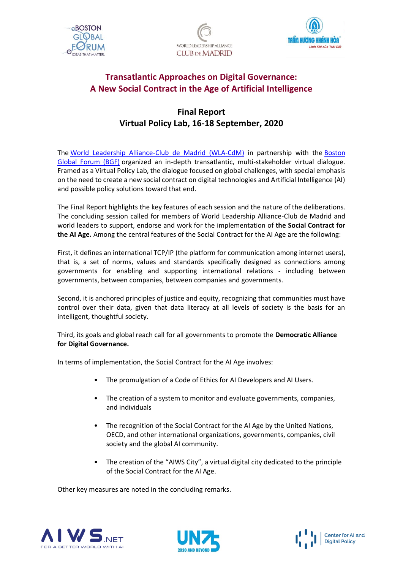





## **Transatlantic Approaches on Digital Governance: A New Social Contract in the Age of Artificial Intelligence**

# **Final Report Virtual Policy Lab, 16-18 September, 2020**

The [World Leadership Alliance-Club de Madrid \(WLA-CdM\)](http://www.clubmadrid.org/) in partnership with the [Boston](https://bostonglobalforum.org/)  [Global Forum \(BGF\)](https://bostonglobalforum.org/) organized an in-depth transatlantic, multi-stakeholder virtual dialogue. Framed as a Virtual Policy Lab, the dialogue focused on global challenges, with special emphasis on the need to create a new social contract on digital technologies and Artificial Intelligence (AI) and possible policy solutions toward that end.

The Final Report highlights the key features of each session and the nature of the deliberations. The concluding session called for members of World Leadership Alliance-Club de Madrid and world leaders to support, endorse and work for the implementation of **the Social Contract for the AI Age.** Among the central features of the Social Contract for the AI Age are the following:

First, it defines an international TCP/IP (the platform for communication among internet users), that is, a set of norms, values and standards specifically designed as connections among governments for enabling and supporting international relations - including between governments, between companies, between companies and governments.

Second, it is anchored principles of justice and equity, recognizing that communities must have control over their data, given that data literacy at all levels of society is the basis for an intelligent, thoughtful society.

Third, its goals and global reach call for all governments to promote the **Democratic Alliance for Digital Governance.**

In terms of implementation, the Social Contract for the AI Age involves:

- The promulgation of a Code of Ethics for AI Developers and AI Users.
- The creation of a system to monitor and evaluate governments, companies, and individuals
- The recognition of the Social Contract for the AI Age by the United Nations, OECD, and other international organizations, governments, companies, civil society and the global AI community.
- The creation of the "AIWS City", a virtual digital city dedicated to the principle of the Social Contract for the AI Age.

Other key measures are noted in the concluding remarks.





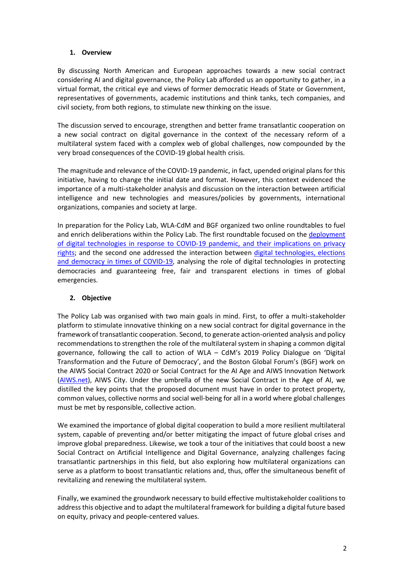## **1. Overview**

By discussing North American and European approaches towards a new social contract considering AI and digital governance, the Policy Lab afforded us an opportunity to gather, in a virtual format, the critical eye and views of former democratic Heads of State or Government, representatives of governments, academic institutions and think tanks, tech companies, and civil society, from both regions, to stimulate new thinking on the issue.

The discussion served to encourage, strengthen and better frame transatlantic cooperation on a new social contract on digital governance in the context of the necessary reform of a multilateral system faced with a complex web of global challenges, now compounded by the very broad consequences of the COVID-19 global health crisis.

The magnitude and relevance of the COVID-19 pandemic, in fact, upended original plans for this initiative, having to change the initial date and format. However, this context evidenced the importance of a multi-stakeholder analysis and discussion on the interaction between artificial intelligence and new technologies and measures/policies by governments, international organizations, companies and society at large.

In preparation for the Policy Lab, WLA-CdM and BGF organized two online roundtables to fuel and enrich deliberations within the Policy Lab. The first roundtable focused on the [deployment](https://www.youtube.com/watch?v=UCQIoO4kxSE&t=2705s)  [of digital technologies in response to COVID-19 pandemic, and their implications on privacy](https://www.youtube.com/watch?v=UCQIoO4kxSE&t=2705s)  [rights;](https://www.youtube.com/watch?v=UCQIoO4kxSE&t=2705s) and the second one addressed the interaction between [digital technologies, elections](https://www.youtube.com/watch?v=Qcx8G0SdVmI&t=1251s)  [and democracy in times of COVID-19,](https://www.youtube.com/watch?v=Qcx8G0SdVmI&t=1251s) analysing the role of digital technologies in protecting democracies and guaranteeing free, fair and transparent elections in times of global emergencies.

## **2. Objective**

The Policy Lab was organised with two main goals in mind. First, to offer a multi-stakeholder platform to stimulate innovative thinking on a new social contract for digital governance in the framework of transatlantic cooperation. Second, to generate action-oriented analysis and policy recommendations to strengthen the role of the multilateral system in shaping a common digital governance, following the call to action of WLA – CdM's 2019 Policy Dialogue on 'Digital Transformation and the Future of Democracy', and the Boston Global Forum's (BGF) work on the AIWS Social Contract 2020 or Social Contract for the AI Age and AIWS Innovation Network [\(AIWS.net\)](https://aiws.net/), AIWS City. Under the umbrella of the new Social Contract in the Age of AI, we distilled the key points that the proposed document must have in order to protect property, common values, collective norms and social well-being for all in a world where global challenges must be met by responsible, collective action.

We examined the importance of global digital cooperation to build a more resilient multilateral system, capable of preventing and/or better mitigating the impact of future global crises and improve global preparedness. Likewise, we took a tour of the initiatives that could boost a new Social Contract on Artificial Intelligence and Digital Governance, analyzing challenges facing transatlantic partnerships in this field, but also exploring how multilateral organizations can serve as a platform to boost transatlantic relations and, thus, offer the simultaneous benefit of revitalizing and renewing the multilateral system.

Finally, we examined the groundwork necessary to build effective multistakeholder coalitions to address this objective and to adapt the multilateral framework for building a digital future based on equity, privacy and people-centered values.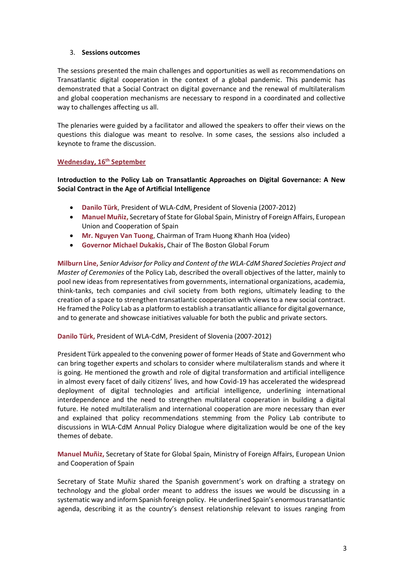#### 3. **Sessions outcomes**

The sessions presented the main challenges and opportunities as well as recommendations on Transatlantic digital cooperation in the context of a global pandemic. This pandemic has demonstrated that a Social Contract on digital governance and the renewal of multilateralism and global cooperation mechanisms are necessary to respond in a coordinated and collective way to challenges affecting us all.

The plenaries were guided by a facilitator and allowed the speakers to offer their views on the questions this dialogue was meant to resolve. In some cases, the sessions also included a keynote to frame the discussion.

#### **Wednesday, 16th September**

**Introduction to the Policy Lab on Transatlantic Approaches on Digital Governance: A New Social Contract in the Age of Artificial Intelligence**

- **Danilo Türk**, President of WLA-CdM, President of Slovenia (2007-2012)
- **Manuel Muñiz,** Secretary of State for Global Spain, Ministry of Foreign Affairs, European Union and Cooperation of Spain
- **Mr. Nguyen Van Tuong**, Chairman of Tram Huong Khanh Hoa (video)
- **Governor Michael Dukakis,** Chair of The Boston Global Forum

**Milburn Line,** *Senior Advisor for Policy and Content of the WLA-CdM Shared Societies Project and Master of Ceremonies* of the Policy Lab, described the overall objectives of the latter, mainly to pool new ideas from representatives from governments, international organizations, academia, think-tanks, tech companies and civil society from both regions, ultimately leading to the creation of a space to strengthen transatlantic cooperation with views to a new social contract. He framed the Policy Lab as a platform to establish a transatlantic alliance for digital governance, and to generate and showcase initiatives valuable for both the public and private sectors.

**Danilo Türk,** President of WLA-CdM, President of Slovenia (2007-2012)

President Türk appealed to the convening power of former Heads of State and Government who can bring together experts and scholars to consider where multilateralism stands and where it is going. He mentioned the growth and role of digital transformation and artificial intelligence in almost every facet of daily citizens' lives, and how Covid-19 has accelerated the widespread deployment of digital technologies and artificial intelligence, underlining international interdependence and the need to strengthen multilateral cooperation in building a digital future. He noted multilateralism and international cooperation are more necessary than ever and explained that policy recommendations stemming from the Policy Lab contribute to discussions in WLA-CdM Annual Policy Dialogue where digitalization would be one of the key themes of debate.

**Manuel Muñiz,** Secretary of State for Global Spain, Ministry of Foreign Affairs, European Union and Cooperation of Spain

Secretary of State Muñiz shared the Spanish government's work on drafting a strategy on technology and the global order meant to address the issues we would be discussing in a systematic way and inform Spanish foreign policy. He underlined Spain's enormous transatlantic agenda, describing it as the country's densest relationship relevant to issues ranging from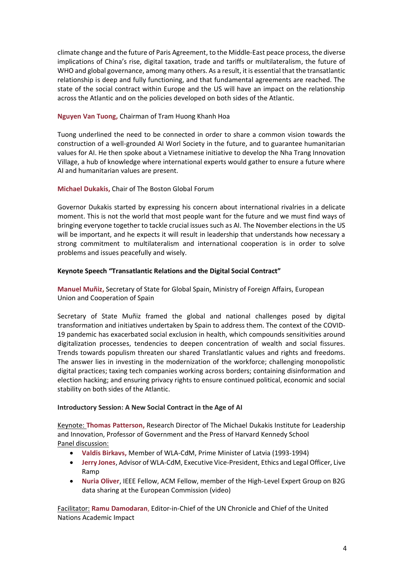climate change and the future of Paris Agreement, to the Middle-East peace process, the diverse implications of China's rise, digital taxation, trade and tariffs or multilateralism, the future of WHO and global governance, among many others. As a result, it is essential that the transatlantic relationship is deep and fully functioning, and that fundamental agreements are reached. The state of the social contract within Europe and the US will have an impact on the relationship across the Atlantic and on the policies developed on both sides of the Atlantic.

## **Nguyen Van Tuong,** Chairman of Tram Huong Khanh Hoa

Tuong underlined the need to be connected in order to share a common vision towards the construction of a well-grounded AI Worl Society in the future, and to guarantee humanitarian values for AI. He then spoke about a Vietnamese initiative to develop the Nha Trang Innovation Village, a hub of knowledge where international experts would gather to ensure a future where AI and humanitarian values are present.

## **Michael Dukakis,** Chair of The Boston Global Forum

Governor Dukakis started by expressing his concern about international rivalries in a delicate moment. This is not the world that most people want for the future and we must find ways of bringing everyone together to tackle crucial issues such as AI. The November elections in the US will be important, and he expects it will result in leadership that understands how necessary a strong commitment to multilateralism and international cooperation is in order to solve problems and issues peacefully and wisely.

## **Keynote Speech "Transatlantic Relations and the Digital Social Contract"**

**Manuel Muñiz,** Secretary of State for Global Spain, Ministry of Foreign Affairs, European Union and Cooperation of Spain

Secretary of State Muñiz framed the global and national challenges posed by digital transformation and initiatives undertaken by Spain to address them. The context of the COVID-19 pandemic has exacerbated social exclusion in health, which compounds sensitivities around digitalization processes, tendencies to deepen concentration of wealth and social fissures. Trends towards populism threaten our shared Translatlantic values and rights and freedoms. The answer lies in investing in the modernization of the workforce; challenging monopolistic digital practices; taxing tech companies working across borders; containing disinformation and election hacking; and ensuring privacy rights to ensure continued political, economic and social stability on both sides of the Atlantic.

## **Introductory Session: A New Social Contract in the Age of AI**

Keynote: **Thomas Patterson,** Research Director of The Michael Dukakis Institute for Leadership and Innovation, Professor of Government and the Press of Harvard Kennedy School Panel discussion:

- **Valdis Birkavs,** Member of WLA-CdM, Prime Minister of Latvia (1993-1994)
- **Jerry Jones**, Advisor of WLA-CdM, Executive Vice-President, Ethics and Legal Officer, Live Ramp
- **Nuria Oliver**, IEEE Fellow, ACM Fellow, member of the High-Level Expert Group on B2G data sharing at the European Commission (video)

Facilitator: **Ramu Damodaran**, Editor-in-Chief of the UN Chronicle and Chief of the United Nations Academic Impact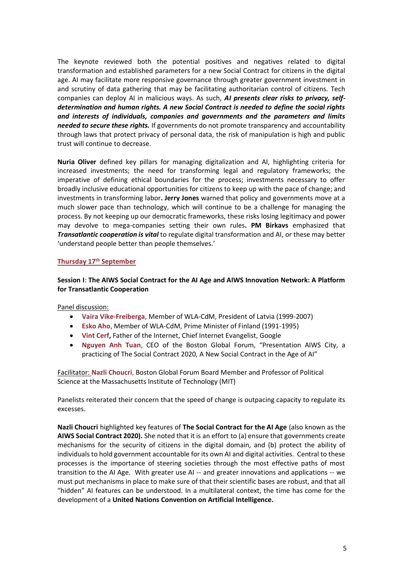The keynote reviewed both the potential positives and negatives related to digital transformation and established parameters for a new Social Contract for citizens in the digital age. AI may facilitate more responsive governance through greater government investment in and scrutiny of data gathering that may be facilitating authoritarian control of citizens. Tech companies can deploy AI in malicious ways. As such, *AI presents clear risks to privacy, selfdetermination and human rights. A new Social Contract is needed to define the social rights and interests of individuals, companies and governments and the parameters and limits needed to secure these rights.* If governments do not promote transparency and accountability through laws that protect privacy of personal data, the risk of manipulation is high and public trust will continue to decrease.

**Nuria Oliver** defined key pillars for managing digitalization and AI, highlighting criteria for increased investments; the need for transforming legal and regulatory frameworks; the imperative of defining ethical boundaries for the process; investments necessary to offer broadly inclusive educational opportunities for citizens to keep up with the pace of change; and investments in transforming labor**. Jerry Jones** warned that policy and governments move at a much slower pace than technology, which will continue to be a challenge for managing the process. By not keeping up our democratic frameworks, these risks losing legitimacy and power may devolve to mega-companies setting their own rules**. PM Birkavs** emphasized that *Transatlantic cooperation is vital* to regulate digital transformation and AI, or these may better 'understand people better than people themselves.'

#### **Thursday 17th September**

## **Session I**: **The AIWS Social Contract for the AI Age and AIWS Innovation Network: A Platform for Transatlantic Cooperation**

Panel discussion:

- **Vaira Vike-Freiberga**, Member of WLA-CdM, President of Latvia (1999-2007)
- **Esko Aho**, Member of WLA-CdM, Prime Minister of Finland (1991-1995)
- **Vint Cerf,** Father of the Internet, Chief Internet Evangelist, Google
- **Nguyen Anh Tuan**, CEO of the Boston Global Forum, "Presentation AIWS City, a practicing of The Social Contract 2020, A New Social Contract in the Age of AI"

Facilitator: **Nazli Choucri**, Boston Global Forum Board Member and Professor of Political Science at the Massachusetts Institute of Technology (MIT)

Panelists reiterated their concern that the speed of change is outpacing capacity to regulate its excesses.

**Nazli Choucri** highlighted key features of **The Social Contract for the AI Age** (also known as the **AIWS Social Contract 2020).** She noted that it is an effort to (a) ensure that governments create mechanisms for the security of citizens in the digital domain, and (b) protect the ability of individuals to hold government accountable for its own AI and digital activities. Central to these processes is the importance of steering societies through the most effective paths of most transition to the AI Age. With greater use AI -- and greater innovations and applications -- we must put mechanisms in place to make sure of that their scientific bases are robust, and that all "hidden" AI features can be understood. In a multilateral context, the time has come for the development of a **United Nations Convention on Artificial Intelligence.**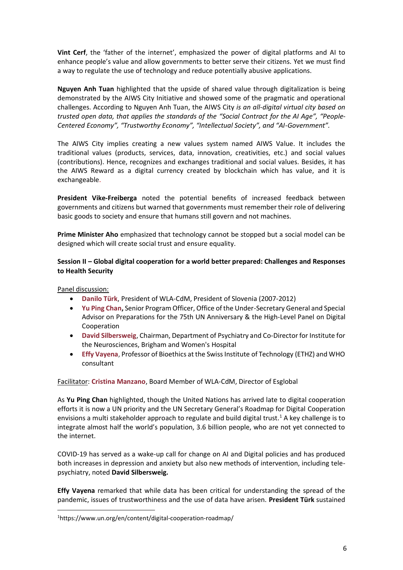**Vint Cerf**, the 'father of the internet', emphasized the power of digital platforms and AI to enhance people's value and allow governments to better serve their citizens. Yet we must find a way to regulate the use of technology and reduce potentially abusive applications.

**Nguyen Anh Tuan** highlighted that the upside of shared value through digitalization is being demonstrated by the AIWS City Initiative and showed some of the pragmatic and operational challenges. According to Nguyen Anh Tuan, the AIWS City *is an all-digital virtual city based on trusted open data, that applies the standards of the "Social Contract for the AI Age", "People-Centered Economy", "Trustworthy Economy", "Intellectual Society", and "AI-Government".*

The AIWS City implies creating a new values system named AIWS Value. It includes the traditional values (products, services, data, innovation, creativities, etc.) and social values (contributions). Hence, recognizes and exchanges traditional and social values. Besides, it has the AIWS Reward as a digital currency created by blockchain which has value, and it is exchangeable.

**President Vike-Freiberga** noted the potential benefits of increased feedback between governments and citizens but warned that governments must remember their role of delivering basic goods to society and ensure that humans still govern and not machines.

**Prime Minister Aho** emphasized that technology cannot be stopped but a social model can be designed which will create social trust and ensure equality.

## **Session II – Global digital cooperation for a world better prepared: Challenges and Responses to Health Security**

Panel discussion:

- **Danilo Türk**, President of WLA-CdM, President of Slovenia (2007-2012)
- **Yu Ping Chan,** Senior Program Officer, Office of the Under-Secretary General and Special Advisor on Preparations for the 75th UN Anniversary & the High-Level Panel on Digital Cooperation
- **David Silbersweig**, Chairman, Department of Psychiatry and Co-Director for Institute for the Neurosciences, Brigham and Women's Hospital
- **Effy Vayena**, Professor of Bioethics at the Swiss Institute of Technology (ETHZ) and WHO consultant

Facilitator: **Cristina Manzano**, Board Member of WLA-CdM, Director of Esglobal

As **Yu Ping Chan** highlighted, though the United Nations has arrived late to digital cooperation efforts it is now a UN priority and the UN Secretary General's Roadmap for Digital Cooperation envisions a multi stakeholder approach to regulate and build digital trust.<sup>1</sup> A key challenge is to integrate almost half the world's population, 3.6 billion people, who are not yet connected to the internet.

COVID-19 has served as a wake-up call for change on AI and Digital policies and has produced both increases in depression and anxiety but also new methods of intervention, including telepsychiatry, noted **David Silbersweig.**

**Effy Vayena** remarked that while data has been critical for understanding the spread of the pandemic, issues of trustworthiness and the use of data have arisen. **President Türk** sustained

<sup>1</sup>https://www.un.org/en/content/digital-cooperation-roadmap/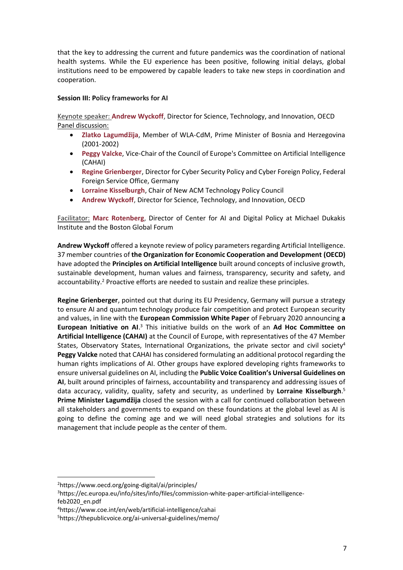that the key to addressing the current and future pandemics was the coordination of national health systems. While the EU experience has been positive, following initial delays, global institutions need to be empowered by capable leaders to take new steps in coordination and cooperation.

#### **Session III: Policy frameworks for AI**

Keynote speaker: **Andrew Wyckoff**, Director for Science, Technology, and Innovation, OECD Panel discussion:

- **Zlatko Lagumdžija**, Member of WLA-CdM, Prime Minister of Bosnia and Herzegovina (2001-2002)
- **Peggy Valcke**, Vice-Chair of the Council of Europe's Committee on Artificial Intelligence (CAHAI)
- **Regine Grienberger**, Director for Cyber Security Policy and Cyber Foreign Policy, Federal Foreign Service Office, Germany
- **Lorraine Kisselburgh**, Chair of New ACM Technology Policy Council
- **Andrew Wyckoff**, Director for Science, Technology, and Innovation, OECD

Facilitator: **Marc Rotenberg**, Director of Center for AI and Digital Policy at Michael Dukakis Institute and the Boston Global Forum

**Andrew Wyckoff** offered a keynote review of policy parameters regarding Artificial Intelligence. 37 member countries of **the Organization for Economic Cooperation and Development (OECD)** have adopted the **Principles on Artificial Intelligence** built around concepts of inclusive growth, sustainable development, human values and fairness, transparency, security and safety, and accountability.<sup>2</sup> Proactive efforts are needed to sustain and realize these principles.

**Regine Grienberger**, pointed out that during its EU Presidency, Germany will pursue a strategy to ensure AI and quantum technology produce fair competition and protect European security and values, in line with the **European Commission White Paper** of February 2020 announcing **a European Initiative on AI**. <sup>3</sup> This initiative builds on the work of an **Ad Hoc Committee on Artificial Intelligence (CAHAI)** at the Council of Europe, with representatives of the 47 Member States, Observatory States, International Organizations, the private sector and civil society<sup>4</sup> **Peggy Valcke** noted that CAHAI has considered formulating an additional protocol regarding the human rights implications of AI. Other groups have explored developing rights frameworks to ensure universal guidelines on AI, including the **Public Voice Coalition's Universal Guidelines on AI**, built around principles of fairness, accountability and transparency and addressing issues of data accuracy, validity, quality, safety and security, as underlined by **Lorraine Kisselburgh**. 5 **Prime Minister Lagumdžija** closed the session with a call for continued collaboration between all stakeholders and governments to expand on these foundations at the global level as AI is going to define the coming age and we will need global strategies and solutions for its management that include people as the center of them.

<sup>2</sup>https://www.oecd.org/going-digital/ai/principles/

<sup>3</sup>https://ec.europa.eu/info/sites/info/files/commission-white-paper-artificial-intelligencefeb2020\_en.pdf

<sup>4</sup>https://www.coe.int/en/web/artificial-intelligence/cahai

<sup>5</sup>https://thepublicvoice.org/ai-universal-guidelines/memo/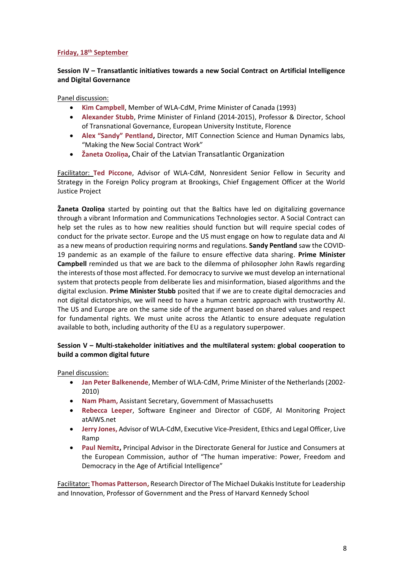#### **Friday, 18th September**

## **Session IV – Transatlantic initiatives towards a new Social Contract on Artificial Intelligence and Digital Governance**

Panel discussion:

- **Kim Campbell**, Member of WLA-CdM, Prime Minister of Canada (1993)
- **Alexander Stubb**, Prime Minister of Finland (2014-2015), Professor & Director, School of Transnational Governance, European University Institute, Florence
- **Alex "Sandy" Pentland,** Director, MIT Connection Science and Human Dynamics labs, "Making the New Social Contract Work"
- **Žaneta Ozoliņa,** Chair of the Latvian Transatlantic Organization

Facilitator: **Ted Piccone**, Advisor of WLA-CdM, Nonresident Senior Fellow in Security and Strategy in the Foreign Policy program at Brookings, Chief Engagement Officer at the World Justice Project

**Žaneta Ozoliņa** started by pointing out that the Baltics have led on digitalizing governance through a vibrant Information and Communications Technologies sector. A Social Contract can help set the rules as to how new realities should function but will require special codes of conduct for the private sector. Europe and the US must engage on how to regulate data and AI as a new means of production requiring norms and regulations. **Sandy Pentland** saw the COVID-19 pandemic as an example of the failure to ensure effective data sharing. **Prime Minister Campbell** reminded us that we are back to the dilemma of philosopher John Rawls regarding the interests of those most affected. For democracy to survive we must develop an international system that protects people from deliberate lies and misinformation, biased algorithms and the digital exclusion. **Prime Minister Stubb** posited that if we are to create digital democracies and not digital dictatorships, we will need to have a human centric approach with trustworthy AI. The US and Europe are on the same side of the argument based on shared values and respect for fundamental rights. We must unite across the Atlantic to ensure adequate regulation available to both, including authority of the EU as a regulatory superpower.

#### **Session V – Multi-stakeholder initiatives and the multilateral system: global cooperation to build a common digital future**

Panel discussion:

- **Jan Peter Balkenende**, Member of WLA-CdM, Prime Minister of the Netherlands (2002- 2010)
- **Nam Pham,** Assistant Secretary, Government of Massachusetts
- **Rebecca Leeper**, Software Engineer and Director of CGDF, AI Monitoring Project atAIWS.net
- **Jerry Jones,** Advisor of WLA-CdM, Executive Vice-President, Ethics and Legal Officer, Live Ramp
- **Paul Nemitz,** Principal Advisor in the Directorate General for Justice and Consumers at the European Commission, author of "The human imperative: Power, Freedom and Democracy in the Age of Artificial Intelligence"

Facilitator: **Thomas Patterson,** Research Director of The Michael Dukakis Institute for Leadership and Innovation, Professor of Government and the Press of Harvard Kennedy School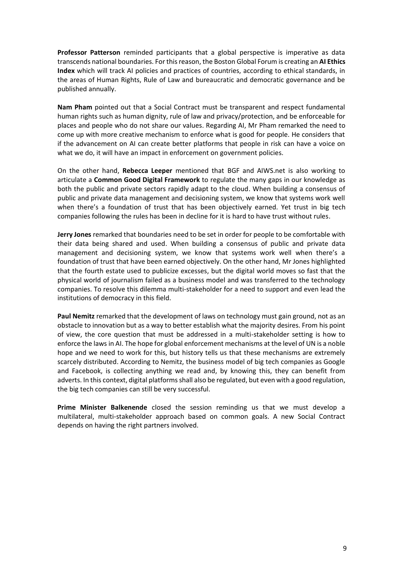**Professor Patterson** reminded participants that a global perspective is imperative as data transcends national boundaries. For this reason, the Boston Global Forum is creating an **AI Ethics Index** which will track AI policies and practices of countries, according to ethical standards, in the areas of Human Rights, Rule of Law and bureaucratic and democratic governance and be published annually.

**Nam Pham** pointed out that a Social Contract must be transparent and respect fundamental human rights such as human dignity, rule of law and privacy/protection, and be enforceable for places and people who do not share our values. Regarding AI, Mr Pham remarked the need to come up with more creative mechanism to enforce what is good for people. He considers that if the advancement on AI can create better platforms that people in risk can have a voice on what we do, it will have an impact in enforcement on government policies.

On the other hand, **Rebecca Leeper** mentioned that BGF and AIWS.net is also working to articulate a **Common Good Digital Framework** to regulate the many gaps in our knowledge as both the public and private sectors rapidly adapt to the cloud. When building a consensus of public and private data management and decisioning system, we know that systems work well when there's a foundation of trust that has been objectively earned. Yet trust in big tech companies following the rules has been in decline for it is hard to have trust without rules.

**Jerry Jones** remarked that boundaries need to be set in order for people to be comfortable with their data being shared and used. When building a consensus of public and private data management and decisioning system, we know that systems work well when there's a foundation of trust that have been earned objectively. On the other hand, Mr Jones highlighted that the fourth estate used to publicize excesses, but the digital world moves so fast that the physical world of journalism failed as a business model and was transferred to the technology companies. To resolve this dilemma multi-stakeholder for a need to support and even lead the institutions of democracy in this field.

**Paul Nemitz** remarked that the development of laws on technology must gain ground, not as an obstacle to innovation but as a way to better establish what the majority desires. From his point of view, the core question that must be addressed in a multi-stakeholder setting is how to enforce the laws in AI. The hope for global enforcement mechanisms at the level of UN is a noble hope and we need to work for this, but history tells us that these mechanisms are extremely scarcely distributed. According to Nemitz, the business model of big tech companies as Google and Facebook, is collecting anything we read and, by knowing this, they can benefit from adverts. In this context, digital platforms shall also be regulated, but even with a good regulation, the big tech companies can still be very successful.

**Prime Minister Balkenende** closed the session reminding us that we must develop a multilateral, multi-stakeholder approach based on common goals. A new Social Contract depends on having the right partners involved.